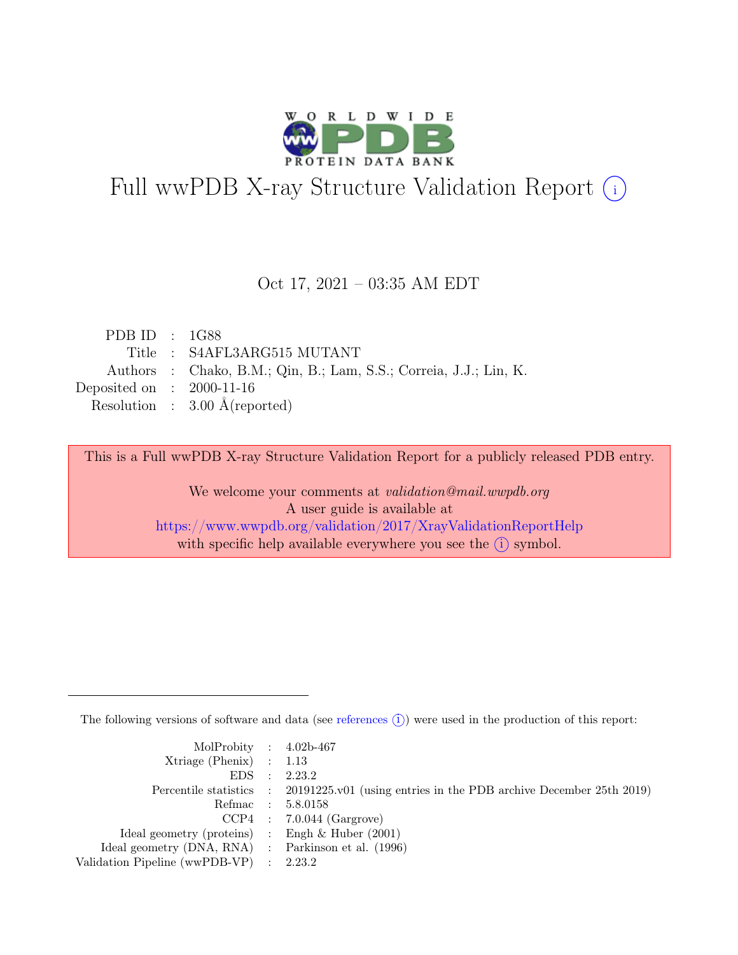

# Full wwPDB X-ray Structure Validation Report  $(i)$

#### Oct 17, 2021 – 03:35 AM EDT

| PDB ID : $1G88$                                                   |
|-------------------------------------------------------------------|
| Title : S4AFL3ARG515 MUTANT                                       |
| Authors : Chako, B.M.; Qin, B.; Lam, S.S.; Correia, J.J.; Lin, K. |
| Deposited on : $2000-11-16$                                       |
| Resolution : $3.00 \text{ Å}$ (reported)                          |
|                                                                   |

This is a Full wwPDB X-ray Structure Validation Report for a publicly released PDB entry.

We welcome your comments at validation@mail.wwpdb.org A user guide is available at <https://www.wwpdb.org/validation/2017/XrayValidationReportHelp> with specific help available everywhere you see the  $(i)$  symbol.

The following versions of software and data (see [references](https://www.wwpdb.org/validation/2017/XrayValidationReportHelp#references)  $(i)$ ) were used in the production of this report:

| MolProbity : $4.02b-467$                            |                                                                                            |
|-----------------------------------------------------|--------------------------------------------------------------------------------------------|
| $Xtriangle (Phenix)$ : 1.13                         |                                                                                            |
|                                                     | EDS : 2.23.2                                                                               |
|                                                     | Percentile statistics : 20191225.v01 (using entries in the PDB archive December 25th 2019) |
|                                                     | Refmac : 5.8.0158                                                                          |
|                                                     | $CCP4$ : 7.0.044 (Gargrove)                                                                |
| Ideal geometry (proteins) : Engh $\&$ Huber (2001)  |                                                                                            |
| Ideal geometry (DNA, RNA) : Parkinson et al. (1996) |                                                                                            |
| Validation Pipeline (wwPDB-VP) : 2.23.2             |                                                                                            |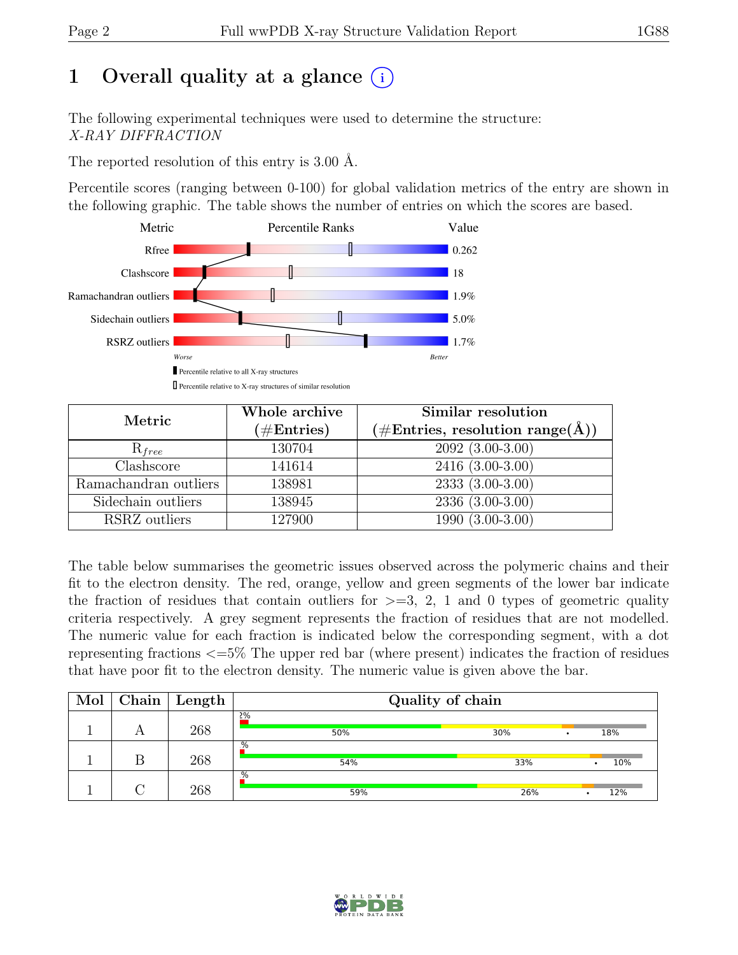# 1 Overall quality at a glance  $(i)$

The following experimental techniques were used to determine the structure: X-RAY DIFFRACTION

The reported resolution of this entry is 3.00 Å.

Percentile scores (ranging between 0-100) for global validation metrics of the entry are shown in the following graphic. The table shows the number of entries on which the scores are based.



| Metric                | Whole archive<br>$(\#Entries)$ | Similar resolution<br>$(\# \text{Entries}, \text{ resolution } \text{range}(\AA))$ |
|-----------------------|--------------------------------|------------------------------------------------------------------------------------|
| $R_{free}$            | 130704                         | $2092(3.00-3.00)$                                                                  |
| Clashscore            | 141614                         | $2416(3.00-3.00)$                                                                  |
| Ramachandran outliers | 138981                         | $\overline{2333}$ $\overline{(3.00-3.00)}$                                         |
| Sidechain outliers    | 138945                         | $2336(3.00-3.00)$                                                                  |
| RSRZ outliers         | 127900                         | $1990(3.00-3.00)$                                                                  |

The table below summarises the geometric issues observed across the polymeric chains and their fit to the electron density. The red, orange, yellow and green segments of the lower bar indicate the fraction of residues that contain outliers for  $\geq$ =3, 2, 1 and 0 types of geometric quality criteria respectively. A grey segment represents the fraction of residues that are not modelled. The numeric value for each fraction is indicated below the corresponding segment, with a dot representing fractions <=5% The upper red bar (where present) indicates the fraction of residues that have poor fit to the electron density. The numeric value is given above the bar.

| Mol | Chain | Length | Quality of chain |            |  |  |  |
|-----|-------|--------|------------------|------------|--|--|--|
|     |       | 268    | 2%<br>50%        | 30%<br>18% |  |  |  |
|     |       | 268    | .%<br>54%        | 10%<br>33% |  |  |  |
|     |       | 268    | $\%$<br>59%      | 12%<br>26% |  |  |  |

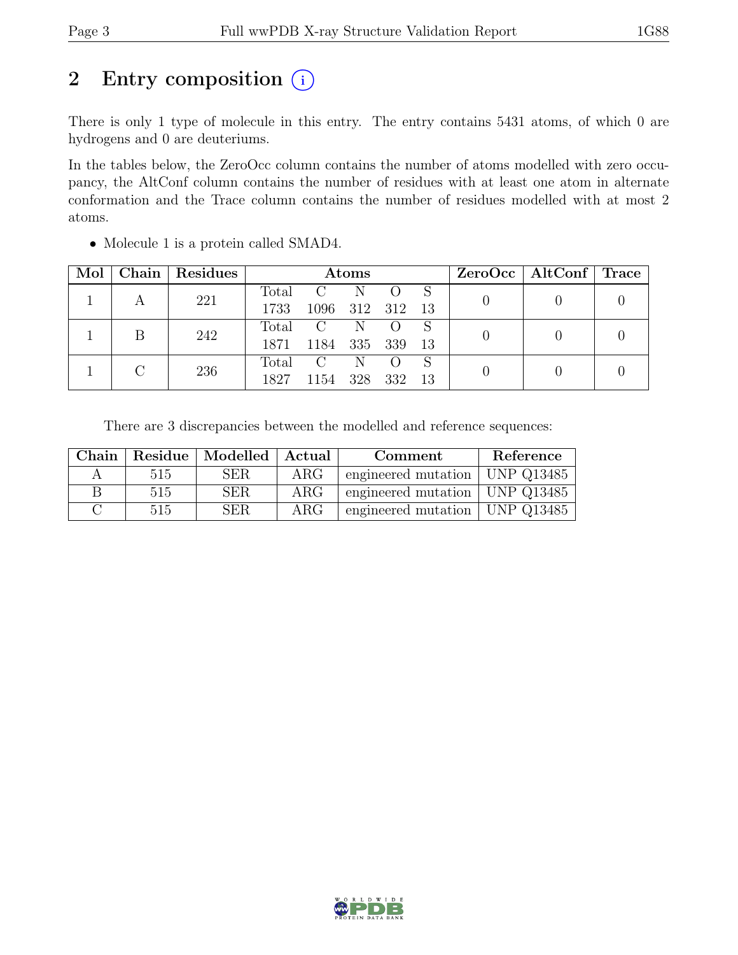# 2 Entry composition  $(i)$

There is only 1 type of molecule in this entry. The entry contains 5431 atoms, of which 0 are hydrogens and 0 are deuteriums.

In the tables below, the ZeroOcc column contains the number of atoms modelled with zero occupancy, the AltConf column contains the number of residues with at least one atom in alternate conformation and the Trace column contains the number of residues modelled with at most 2 atoms.

| Mol | Chain   Residues | Atoms |              |     |                  |     | $ZeroOcc \mid AltConf \mid Trace$ |  |  |
|-----|------------------|-------|--------------|-----|------------------|-----|-----------------------------------|--|--|
|     | 221              | Total | $\rm C$      | N   |                  |     |                                   |  |  |
|     |                  | 1733  | 1096 312 312 |     |                  | -13 |                                   |  |  |
|     | 242              | Total | $\mathbf C$  | N   |                  |     |                                   |  |  |
|     |                  | 1871  | 1184         | 335 | - 339            | -13 |                                   |  |  |
|     |                  | Total | $\rm C$      | N.  | $\left( \right)$ | S   |                                   |  |  |
|     | 236              | 1827  | 1154         | 328 | 332              | 13  |                                   |  |  |

• Molecule 1 is a protein called SMAD4.

There are 3 discrepancies between the modelled and reference sequences:

| Chain |     | Residue   Modelled   Actual |                  | Comment                                | Reference |
|-------|-----|-----------------------------|------------------|----------------------------------------|-----------|
|       | 515 | <b>SER</b>                  | $\rm{ARG}$       | engineered mutation $\vert$ UNP Q13485 |           |
|       | 515 | <b>SER</b>                  | $\rm{ARG}$       | engineered mutation   UNP $Q13485$     |           |
|       | 515 | <b>SER</b>                  | ARG <sub>c</sub> | engineered mutation   UNP $Q13485$     |           |

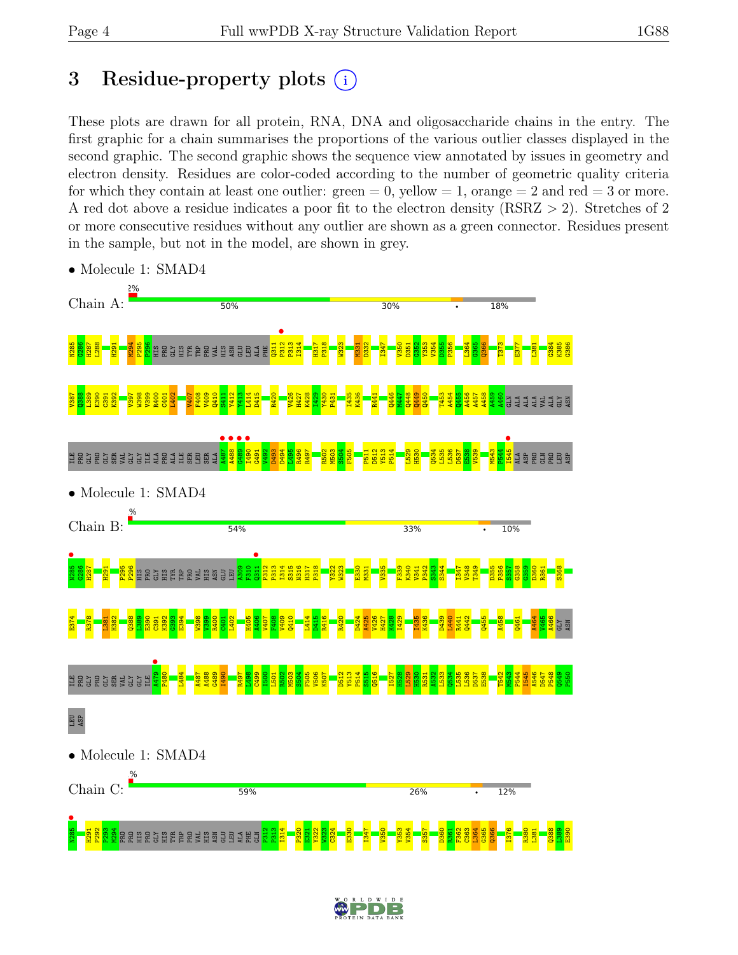# 3 Residue-property plots  $(i)$

These plots are drawn for all protein, RNA, DNA and oligosaccharide chains in the entry. The first graphic for a chain summarises the proportions of the various outlier classes displayed in the second graphic. The second graphic shows the sequence view annotated by issues in geometry and electron density. Residues are color-coded according to the number of geometric quality criteria for which they contain at least one outlier:  $green = 0$ , yellow  $= 1$ , orange  $= 2$  and red  $= 3$  or more. A red dot above a residue indicates a poor fit to the electron density (RSRZ > 2). Stretches of 2 or more consecutive residues without any outlier are shown as a green connector. Residues present in the sample, but not in the model, are shown in grey.



• Molecule 1: SMAD4

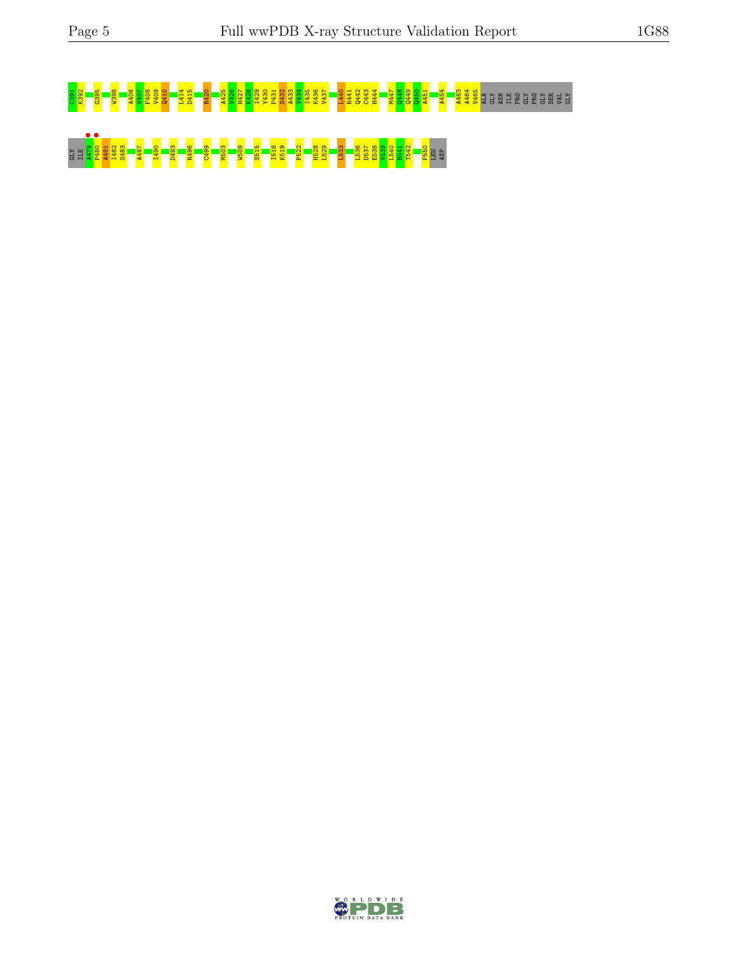# C391 K392 G395 W398 A406 V407 F408 V409 Q410 L414 D415 R420 A425 V426 H427 K428 I429 Y430 P431 S432 A433 Y434 I435 K436 V437 L440 R441 Q442 C443 H444 M447 Q448 Q449 Q450 A451 A454 A463 A464 V465 ALA GLY ASN ILE PRO GLY PRO GLY SER VAL GLY GLY ILE A479 • P480 • A481 I482 S483 A487 I490 D493 R496 C499 M503 W509 S515 I518 K519 P522 H528 L529 L533 L536 D537 E538 V539 L540 H541 T542 P550 LEU ASP

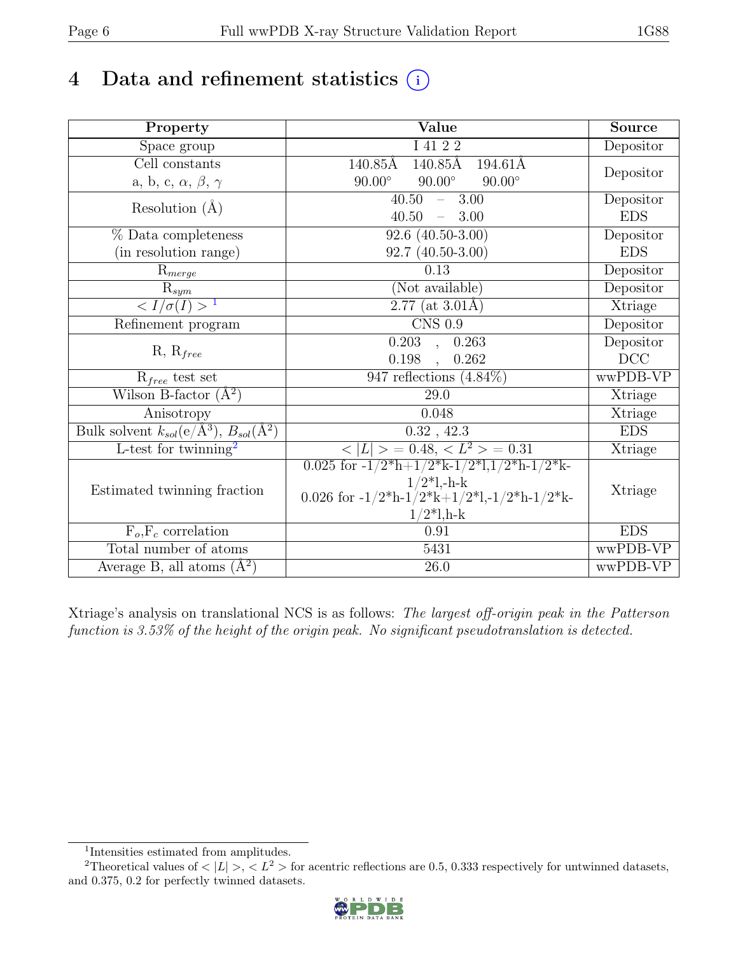# 4 Data and refinement statistics  $(i)$

| Property                                                  | Value                                                                                                                        | <b>Source</b> |
|-----------------------------------------------------------|------------------------------------------------------------------------------------------------------------------------------|---------------|
| Space group                                               | I 41 2 2                                                                                                                     | Depositor     |
| Cell constants                                            | $140.85\text{\AA}$<br>$140.85\text{\AA}$<br>$194.61\text{\AA}$                                                               |               |
| a, b, c, $\alpha$ , $\beta$ , $\gamma$                    | $90.00^\circ$<br>$90.00^\circ$<br>$90.00^\circ$                                                                              | Depositor     |
| Resolution $(A)$                                          | $40.50 - 3.00$                                                                                                               | Depositor     |
|                                                           | 40.50<br>$-3.00$                                                                                                             | <b>EDS</b>    |
| % Data completeness                                       | $92.6(40.50-3.00)$                                                                                                           | Depositor     |
| (in resolution range)                                     | $92.7(40.50-3.00)$                                                                                                           | <b>EDS</b>    |
| $R_{merge}$                                               | 0.13                                                                                                                         | Depositor     |
| $\mathrm{R}_{sym}$                                        | (Not available)                                                                                                              | Depositor     |
| $\langle I/\sigma(I) \rangle$ <sup>1</sup>                | $2.77$ (at 3.01Å)                                                                                                            | Xtriage       |
| Refinement program                                        | $CNS$ 0.9                                                                                                                    | Depositor     |
|                                                           | $0.203$ , $0.263$                                                                                                            | Depositor     |
| $R, R_{free}$                                             | $0.198$ , $0.262$                                                                                                            | $DCC$         |
| $R_{free}$ test set                                       | $947$ reflections $(4.84\%)$                                                                                                 | wwPDB-VP      |
| Wilson B-factor $(A^2)$                                   | 29.0                                                                                                                         | Xtriage       |
| Anisotropy                                                | 0.048                                                                                                                        | Xtriage       |
| Bulk solvent $k_{sol}(\overline{e/A^3})$ , $B_{sol}(A^2)$ | 0.32, 42.3                                                                                                                   | <b>EDS</b>    |
| L-test for twinning <sup>2</sup>                          | $< L >$ = 0.48, $< L2$ > = 0.31                                                                                              | Xtriage       |
|                                                           | 0.025 for $-1/2$ <sup>*</sup> h+ $1/2$ <sup>*</sup> k- $1/2$ <sup>*</sup> l, $1/2$ <sup>*</sup> h- $1/2$ <sup>*</sup> k-     |               |
| Estimated twinning fraction                               | $1/2$ *l,-h-k                                                                                                                | Xtriage       |
|                                                           | 0.026 for $-1/2$ <sup>*</sup> h $-1/2$ <sup>*</sup> k $+1/2$ <sup>*</sup> l, $-1/2$ <sup>*</sup> h $-1/2$ <sup>*</sup> k $-$ |               |
|                                                           | $1/2*1, h-k$<br>0.91                                                                                                         | <b>EDS</b>    |
| $F_o, F_c$ correlation<br>Total number of atoms           |                                                                                                                              | wwPDB-VP      |
|                                                           | 5431                                                                                                                         |               |
| Average B, all atoms $(\AA^2)$                            | $26.0\,$                                                                                                                     | wwPDB-VP      |

Xtriage's analysis on translational NCS is as follows: The largest off-origin peak in the Patterson function is 3.53% of the height of the origin peak. No significant pseudotranslation is detected.

<sup>&</sup>lt;sup>2</sup>Theoretical values of  $\langle |L| \rangle$ ,  $\langle L^2 \rangle$  for acentric reflections are 0.5, 0.333 respectively for untwinned datasets, and 0.375, 0.2 for perfectly twinned datasets.



<span id="page-5-1"></span><span id="page-5-0"></span><sup>1</sup> Intensities estimated from amplitudes.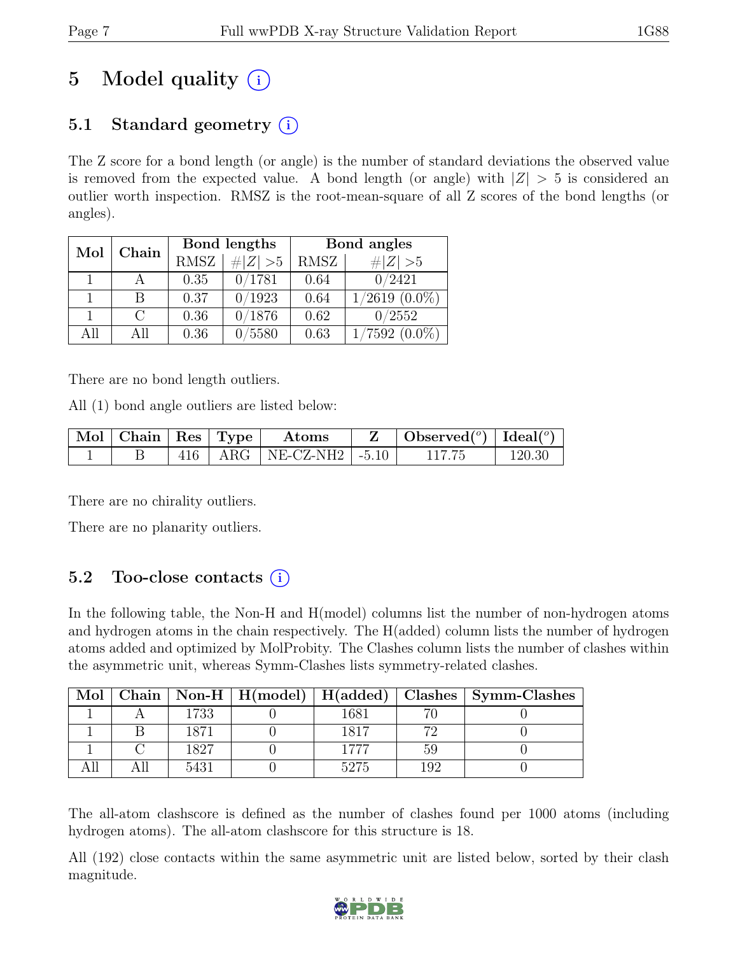# 5 Model quality  $(i)$

### 5.1 Standard geometry  $(i)$

The Z score for a bond length (or angle) is the number of standard deviations the observed value is removed from the expected value. A bond length (or angle) with  $|Z| > 5$  is considered an outlier worth inspection. RMSZ is the root-mean-square of all Z scores of the bond lengths (or angles).

| Mol  | Chain  |             | Bond lengths | Bond angles |                    |  |
|------|--------|-------------|--------------|-------------|--------------------|--|
|      |        | <b>RMSZ</b> | $\# Z  > 5$  | RMSZ        | $\# Z  > 5$        |  |
|      |        | 0.35        | 0/1781       | 0.64        | 0/2421             |  |
|      | В      | 0.37        | 0/1923       | 0.64        | $1/2619$ $(0.0\%)$ |  |
|      | $\cap$ | 0.36        | 0/1876       | 0.62        | 0/2552             |  |
| A 11 | All    | 0.36        | 0/5580       | 0.63        | $7592(0.0\%)$      |  |

There are no bond length outliers.

All (1) bond angle outliers are listed below:

|  |  | Mol   Chain   Res   Type   Atoms | $Z \parallel$ Observed <sup>(o)</sup> $\vert$ Ideal( <sup>o</sup> ) |        |
|--|--|----------------------------------|---------------------------------------------------------------------|--------|
|  |  | 416   ARG   NE-CZ-NH2   $-5.10$  | 117.75                                                              | 120.30 |

There are no chirality outliers.

There are no planarity outliers.

### 5.2 Too-close contacts  $(i)$

In the following table, the Non-H and H(model) columns list the number of non-hydrogen atoms and hydrogen atoms in the chain respectively. The H(added) column lists the number of hydrogen atoms added and optimized by MolProbity. The Clashes column lists the number of clashes within the asymmetric unit, whereas Symm-Clashes lists symmetry-related clashes.

| Mol |      |      |     | Chain   Non-H   H(model)   H(added)   Clashes   Symm-Clashes |
|-----|------|------|-----|--------------------------------------------------------------|
|     | 1733 | 1681 |     |                                                              |
|     | 1871 | 1817 | 79  |                                                              |
|     | 1827 | 1777 | 59  |                                                              |
|     | 5431 | 5275 | 102 |                                                              |

The all-atom clashscore is defined as the number of clashes found per 1000 atoms (including hydrogen atoms). The all-atom clashscore for this structure is 18.

All (192) close contacts within the same asymmetric unit are listed below, sorted by their clash magnitude.

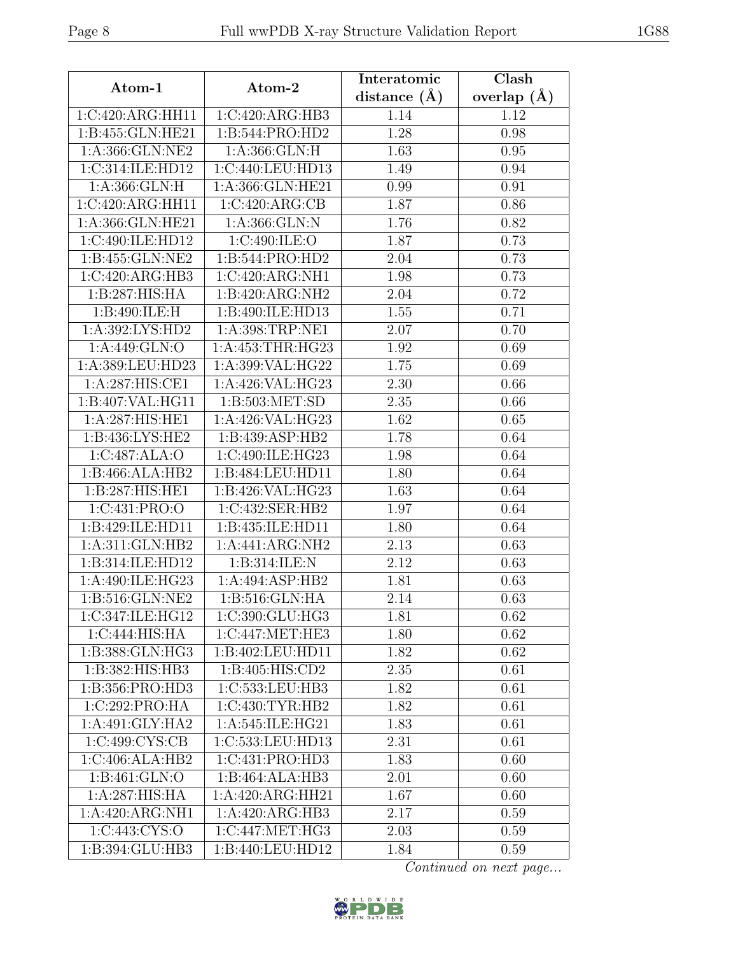| Atom-1                      | Atom-2                       | Interatomic      | Clash           |
|-----------------------------|------------------------------|------------------|-----------------|
|                             |                              | distance $(\AA)$ | overlap $(\AA)$ |
| 1:C:420:ARG:HH11            | 1:C:420:ARG:HB3              | 1.14             | 1.12            |
| 1:B:455:GLN:HE21            | 1:B:544:PRO:HD2              | 1.28             | 0.98            |
| 1:A:366:GLN:NE2             | 1: A: 366: GLN: H            | 1.63             | 0.95            |
| 1:C:314:ILE:HD12            | 1:C:440:LEU:HD13             | 1.49             | 0.94            |
| 1: A: 366: GLN: H           | 1:A:366:GLN:HE21             | 0.99             | 0.91            |
| 1:C:420:ARG:HH11            | 1:C:420:ARG:CB               | 1.87             | 0.86            |
| 1:A:366:GLN:HE21            | 1: A: 366: GLN: N            | 1.76             | 0.82            |
| 1:C:490:ILE:HD12            | 1:C:490:ILE:O                | 1.87             | 0.73            |
| 1:B:455:GLN:NE2             | 1:B:544:PRO:HD2              | 2.04             | 0.73            |
| 1:C:420:ARG:HB3             | 1:C:420:ARG:NH1              | 1.98             | 0.73            |
| 1:B:287:HIS:HA              | 1:B:420:ARG:NH2              | 2.04             | 0.72            |
| 1:B:490:ILE:H               | 1:B:490:ILE:HD13             | 1.55             | 0.71            |
| 1: A:392: LYS: HD2          | 1:A:398:TRP:NE1              | 2.07             | 0.70            |
| 1:A:449:GLN:O               | 1: A: 453: THR: HG23         | 1.92             | 0.69            |
| 1:A:389:LEU:HD23            | 1:A:399:VAL:HG22             | 1.75             | 0.69            |
| 1:A:287:HIS:CE1             | 1:A:426:VAL:HG23             | 2.30             | 0.66            |
| 1:B:407:VAL:HG11            | 1: B: 503: MET: SD           | 2.35             | 0.66            |
| 1:A:287:HIS:HE1             | 1:A:426:VAL:HG23             | 1.62             | 0.65            |
| 1:B:436:LYS:HE2             | 1:B:439:ASP:HB2              | 1.78             | 0.64            |
| 1:C:487:ALA:O               | 1:C:490:ILE:HG23             | 1.98             | 0.64            |
| 1:B:466:ALA:HB2             | 1:B:484:LEU:HD11             | 1.80             | 0.64            |
| 1:B:287:HIS:HE1             | 1:B:426:VAL:HG23             | 1.63             | 0.64            |
| 1:C:431:PRO:O               | 1:C:432:SER:HB2              | 1.97             | 0.64            |
| 1:B:429:ILE:HD11            | 1:B:435:ILE:HD11             | 1.80             | 0.64            |
| 1:A:311:GLN:HB2             | 1:A:441:ARG:NH2              | 2.13             | 0.63            |
| 1:B:314:ILE:HD12            | 1:B:314:ILE:N                | 2.12             | 0.63            |
| 1:A:490:ILE:HG23            | 1:A:494:ASP:HB2              | 1.81             | 0.63            |
| 1: B:516: GLN: NE2          | 1: B:516: GLN: HA            | 2.14             | 0.63            |
| 1:C:347:ILE:HG12            | 1:C:390:GLU:HG3              | 1.81             | 0.62            |
| 1:C:444:HIS:HA              | 1:C:447:MET:HE3              | 1.80             | 0.62            |
| 1:B:388:GLN:HG3             | 1:B:402:LEU:HD11             | 1.82             | 0.62            |
| 1:B:382:HIS:HB3             | 1:B:405:HIS:CD2              | 2.35             | 0.61            |
| 1:B:356:PRO:HD3             | 1:C:533:LEU:HB3              | 1.82             | 0.61            |
| $1:C:292:PRO:H\overline{A}$ | $1:C:430:TYR:\overline{HB2}$ | 1.82             | 0.61            |
| 1:A:491:GLY:HA2             | 1:A:545:ILE:HG21             | 1.83             | 0.61            |
| 1:C:499:CYS:CB              | 1:C:533:LEU:HD13             | 2.31             | 0.61            |
| 1:C:406:ALA:HB2             | 1:C:431:PRO:HD3              | 1.83             | 0.60            |
| 1:B:461:GLN:O               | 1:B:464:ALA:HB3              | 2.01             | 0.60            |
| 1:A:287:HIS:HA              | 1:A:420:ARG:HH21             | 1.67             | 0.60            |
| 1:A:420:ARG:NH1             | 1:A:420:ARG:HB3              | 2.17             | 0.59            |
| 1:C:443:CYS:O               | 1:C:447:MET:HG3              | 2.03             | 0.59            |
| 1:B:394:GLU:HB3             | 1:B:440:LEU:HD12             | 1.84             | 0.59            |

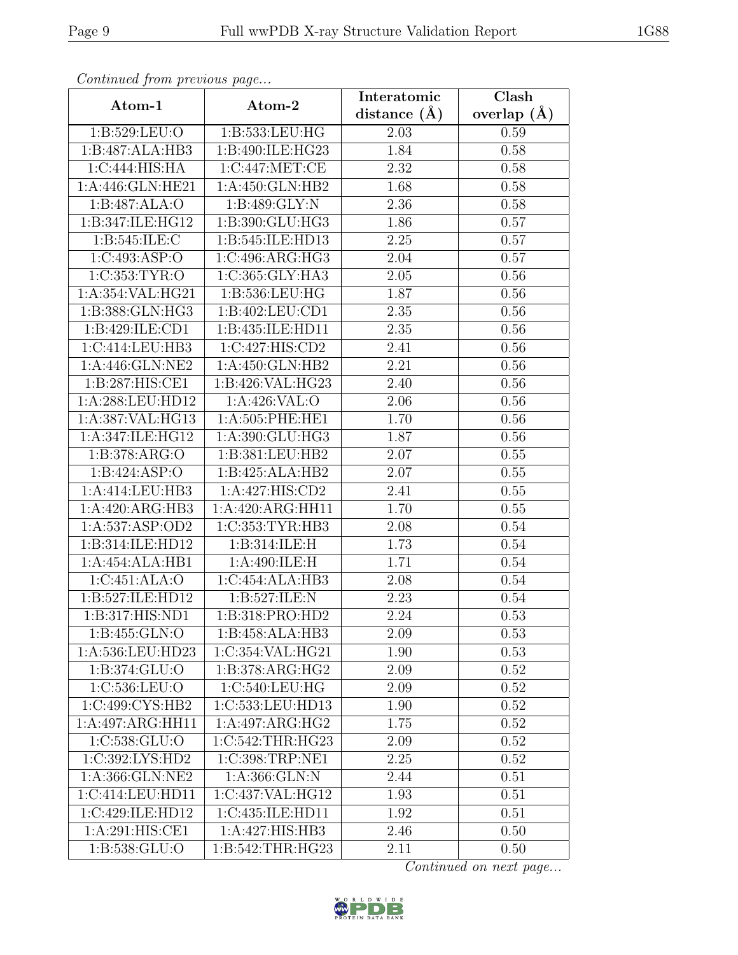| Continuea from previous page |                  | Interatomic       | Clash         |
|------------------------------|------------------|-------------------|---------------|
| Atom-1                       | Atom-2           | distance $(A)$    | overlap $(A)$ |
| 1:B:529:LEU:O                | 1:B:533:LEU:HG   | 2.03              | 0.59          |
| 1:B:487:ALA:HB3              | 1:B:490:ILE:HG23 | 1.84              | 0.58          |
| 1:C:444:HIS:HA               | 1:C:447:MET:CE   | 2.32              | 0.58          |
| 1:A:446:GLN:HE21             | 1:A:450:GLN:HB2  | 1.68              | 0.58          |
| 1:B:487:ALA:O                | 1: B:489: GLY:N  | 2.36              | 0.58          |
| 1:B:347:ILE:HG12             | 1:B:390:GLU:HG3  | 1.86              | 0.57          |
| 1:B:545:ILE:C                | 1:B:545:ILE:HD13 | 2.25              | 0.57          |
| 1:C:493:ASP:O                | 1:C:496:ARG:HG3  | 2.04              | 0.57          |
| 1:C:353:TYR:O                | 1:C:365:GLY:HA3  | 2.05              | 0.56          |
| 1:A:354:VAL:HG21             | 1:B:536:LEU:HG   | 1.87              | 0.56          |
| $1:B:388:GLN:H\overline{G3}$ | 1:B:402:LEU:CD1  | 2.35              | 0.56          |
| 1:B:429:ILE:CD1              | 1:B:435:ILE:HD11 | 2.35              | 0.56          |
| 1:C:414:LEU:HB3              | 1:C:427:HIS:CD2  | 2.41              | 0.56          |
| 1:A:446:GLN:NE2              | 1:A:450:GLN:HB2  | 2.21              | 0.56          |
| 1:B:287:HIS:CE1              | 1:B:426:VAL:HG23 | 2.40              | 0.56          |
| 1:A:288:LEU:HD12             | 1:A:426:VAL:O    | 2.06              | 0.56          |
| 1:A:387:VAL:HG13             | 1:A:505:PHE:HE1  | 1.70              | 0.56          |
| 1:A:347:ILE:HG12             | 1:A:390:GLU:HG3  | 1.87              | 0.56          |
| 1:B:378:ARG:O                | 1:B:381:LEU:HB2  | 2.07              | 0.55          |
| 1: B: 424: ASP: O            | 1:B:425:ALA:HB2  | 2.07              | 0.55          |
| 1:A:414:LEU:HB3              | 1:A:427:HIS:CD2  | 2.41              | 0.55          |
| 1:A:420:ARG:HB3              | 1:A:420:ARG:HH11 | 1.70              | $0.55\,$      |
| 1:A:537:ASP:OD2              | 1:C:353:TYR:HB3  | 2.08              | 0.54          |
| 1:B:314:ILE:HD12             | 1:B:314:ILE:H    | 1.73              | 0.54          |
| 1:A:454:ALA:HB1              | 1:A:490:ILE:H    | 1.71              | 0.54          |
| 1:C:451:ALA:O                | 1:C:454:ALA:HB3  | $\overline{2.08}$ | 0.54          |
| 1:B:527:ILE:HD12             | 1:B:527:ILE:N    | 2.23              | 0.54          |
| 1:B:317:HIS:ND1              | 1:B:318:PRO:HD2  | 2.24              | 0.53          |
| 1: B: 455: GLN: O            | 1:B:458:ALA:HB3  | 2.09              | 0.53          |
| 1:A:536:LEU:HD23             | 1:C:354:VAL:HG21 | 1.90              | 0.53          |
| 1:B:374:GLU:O                | 1:B:378:ARG:HG2  | 2.09              | 0.52          |
| 1:C:536:LEU:O                | 1:C:540:LEU:HG   | 2.09              | 0.52          |
| 1:C:499:CYS:HB2              | 1:C:533:LEU:HD13 | 1.90              | 0.52          |
| 1:A:497:ARG:HH11             | 1:A:497:ARG:HG2  | 1.75              | 0.52          |
| 1:C:538:GLU:O                | 1:C:542:THR:HG23 | 2.09              | 0.52          |
| 1:C:392:LYS:HD2              | 1:C:398:TRP:NE1  | 2.25              | 0.52          |
| 1: A: 366: GLN: NE2          | 1:A:366:GLN:N    | 2.44              | 0.51          |
| 1:C:414:LEU:HD11             | 1:C:437:VAL:HG12 | 1.93              | 0.51          |
| 1:C:429:ILE:HD12             | 1:C:435:ILE:HD11 | 1.92              | 0.51          |
| 1:A:291:HIS:CE1              | 1:A:427:HIS:HB3  | 2.46              | 0.50          |
| 1:B:538:GLU:O                | 1:B:542:THR:HG23 | 2.11              | 0.50          |

Continued from previous page.

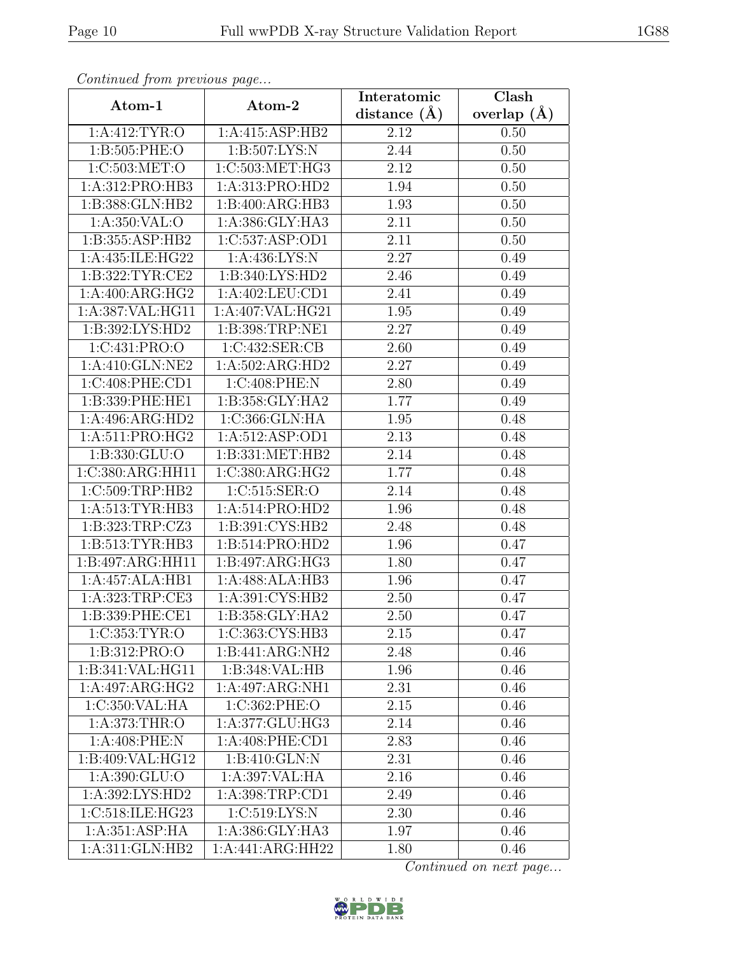| Continuea from previous page |                               | Interatomic       | Clash           |
|------------------------------|-------------------------------|-------------------|-----------------|
| Atom-1                       | Atom-2                        | distance $(A)$    | overlap $(\AA)$ |
| 1: A:412: TYR:O              | 1:A:415:ASP:HB2               | 2.12              | 0.50            |
| 1:B:505:PHE:O                | 1: B: 507: LYS: N             | 2.44              | 0.50            |
| 1:C:503:MET:O                | 1:C:503:MET:HG3               | 2.12              | 0.50            |
| 1:A:312:PRO:HB3              | 1:A:313:PRO:HD2               | 1.94              | 0.50            |
| 1:B:388:GLN:HB2              | 1:B:400:ARG:HB3               | 1.93              | 0.50            |
| 1:A:350:VAL:O                | 1:A:386:GLY:HA3               | 2.11              | 0.50            |
| 1:B:355:ASP:HB2              | 1:C:537:ASP:OD1               | $\overline{2.11}$ | 0.50            |
| 1:A:435:ILE:HG22             | 1: A: 436: LYS: N             | 2.27              | 0.49            |
| 1:B:322:TYR:CE2              | 1:B:340:LYS:HD2               | 2.46              | 0.49            |
| 1:A:400:ARG:HG2              | 1:A:402:LEU:CD1               | 2.41              | 0.49            |
| 1:A:387:VAL:HG11             | 1:A:407:VAL:HG21              | 1.95              | 0.49            |
| 1:B:392:LYS:HD2              | 1:B:398:TRP:NE1               | 2.27              | 0.49            |
| 1:C:431:PRO:O                | 1:C:432:SER:CB                | 2.60              | 0.49            |
| 1:A:410:GLN:NE2              | 1:A:502:ARG:HD2               | 2.27              | 0.49            |
| 1:C:408:PHE:CD1              | 1:C:408:PHE:N                 | 2.80              | 0.49            |
| 1:B:339:PHE:HE1              | 1:B:358:GLY:HA2               | 1.77              | 0.49            |
| 1:A:496:ARG:HD2              | 1:C:366:GLN:HA                | 1.95              | 0.48            |
| 1: A:511: PRO:HG2            | 1:A:512:ASP:OD1               | 2.13              | 0.48            |
| 1: B: 330: GLU:O             | 1:B:331:MET:HB2               | 2.14              | 0.48            |
| 1:C:380:ARG:HH11             | 1:C:380:ARG:HG2               | 1.77              | 0.48            |
| 1:C:509:TRP:HB2              | 1:C:515:SER:O                 | 2.14              | 0.48            |
| 1:A:513:TYR:HB3              | 1:A:514:PRO:HD2               | 1.96              | 0.48            |
| 1:B:323:TRP:CZ3              | 1:B:391:CYS:HB2               | 2.48              | 0.48            |
| 1: B: 513: TYR: HB3          | 1:B:514:PRO:HD2               | 1.96              | 0.47            |
| 1:B:497:ARG:HH11             | 1:B:497:ARG:HG3               | 1.80              | 0.47            |
| 1:A:457:ALA:HB1              | 1:A:488:ALA:HB3               | 1.96              | 0.47            |
| 1:A:323:TRP:CE3              | 1:A:391:CYS:HB2               | 2.50              | 0.47            |
| 1:B:339:PHE:CE1              | 1:B:358:GLY:HA2               | 2.50              | 0.47            |
| 1:C:353:TYR:O                | 1:C:363:CYS:HB3               | 2.15              | 0.47            |
| 1:B:312:PRO:O                | 1:B:441:ARG:NH2               | 2.48              | 0.46            |
| 1:B:341:VAL:HG11             | 1:B:348:VAL:HB                | 1.96              | 0.46            |
| 1:A:497:ARG:HG2              | 1:A:497:ARG:NH1               | 2.31              | 0.46            |
| 1:C:350:VAL:HA               | 1:C:362:PHE:O                 | 2.15              | 0.46            |
| 1: A:373:THR:O               | 1:A:377:GLU:HG3               | 2.14              | 0.46            |
| 1:A:408:PHE:N                | 1: A:408: PHE:CD1             | 2.83              | 0.46            |
| 1:B:409:VAL:HG12             | 1:B:410:GLN:N                 | 2.31              | 0.46            |
| 1: A:390: GLU:O              | 1:A:397:VAL:HA                | 2.16              | 0.46            |
| 1:A:392:LYS:HD2              | 1:A:398:TRP:CD1               | 2.49              | 0.46            |
| 1:C:518:ILE:HG23             | 1:C:519:LYS:N                 | 2.30              | 0.46            |
| 1: A:351: ASP: HA            | 1:A:386:GLY:HA3               | 1.97              | 0.46            |
| 1:A:311:GLN:HB2              | $1:A:441:A\overline{RG:HH22}$ | 1.80              | 0.46            |

Continued from previous page.

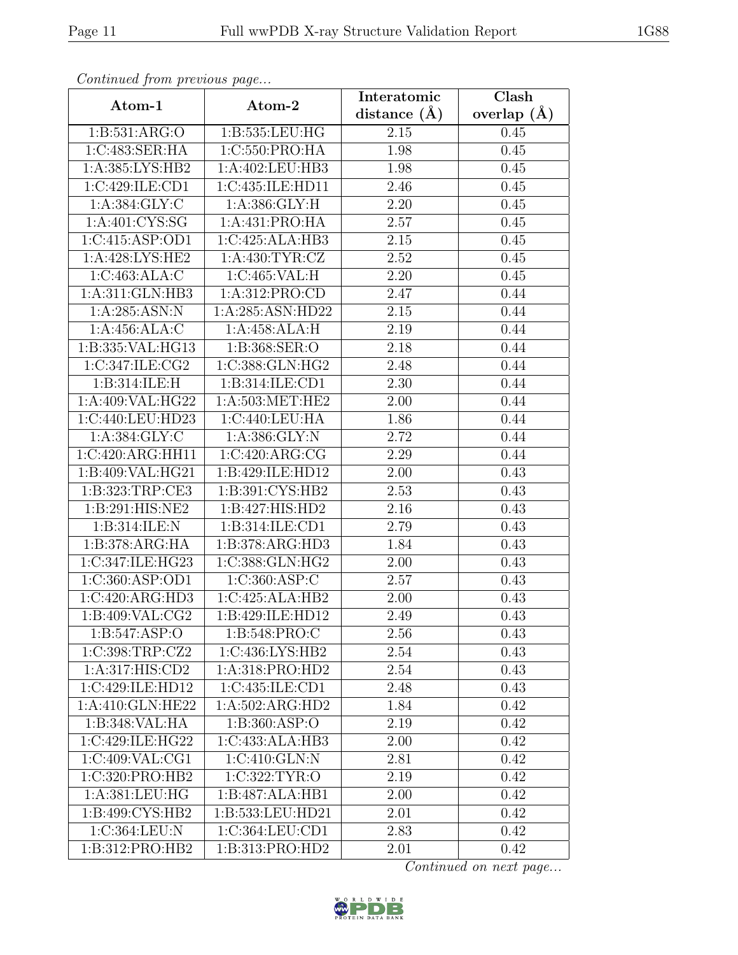| Continued from previous page  |                    | Interatomic      | Clash           |
|-------------------------------|--------------------|------------------|-----------------|
| Atom-1                        | Atom-2             | distance $(\AA)$ | overlap $(\AA)$ |
| 1:B:531:ARG:O                 | 1:B:535:LEU:HG     | 2.15             | 0.45            |
| 1:C:483:SER:HA                | 1:C:550:PRO:HA     | 1.98             | 0.45            |
| 1: A: 385: LYS: HB2           | 1:A:402:LEU:HB3    | 1.98             | 0.45            |
| 1:C:429:ILE:CD1               | 1:C:435:ILE:HD11   | 2.46             | 0.45            |
| 1: A: 384: GLY: C             | 1: A:386: GLY: H   | 2.20             | 0.45            |
| 1: A:401: CYS:SG              | 1:A:431:PRO:HA     | 2.57             | 0.45            |
| 1:C:415:ASP:OD1               | 1:C:425:ALA:HB3    | 2.15             | 0.45            |
| $1:A:428:LYS:H\overline{E2}$  | 1: A: 430: TYR: CZ | 2.52             | 0.45            |
| 1:C:463:ALA:C                 | 1:C:465:VAL:H      | 2.20             | 0.45            |
| 1:A:311:GLN:HB3               | 1: A:312: PRO:CD   | 2.47             | 0.44            |
| 1:A:285:ASN:N                 | 1:A:285:ASN:HD22   | 2.15             | 0.44            |
| 1:A:456:ALA:C                 | 1:A:458:ALA:H      | 2.19             | 0.44            |
| 1:B:335: VAL: HG13            | 1:B:368:SER:O      | 2.18             | 0.44            |
| 1:C:347:ILE:CG2               | 1:C:388:GLN:HG2    | 2.48             | 0.44            |
| 1:B:314:ILE:H                 | 1:B:314:ILE:CD1    | 2.30             | 0.44            |
| 1:A:409:VAL:HG22              | 1: A:503:MET:HE2   | 2.00             | 0.44            |
| 1:C:440:LEU:HD23              | 1:C:440:LEU:HA     | 1.86             | 0.44            |
| 1: A: 384: GLY: C             | 1: A: 386: GLY: N  | 2.72             | 0.44            |
| 1:C:420:ARG:HH11              | 1:C:420:ARG:CG     | 2.29             | 0.44            |
| 1:B:409:VAL:HG21              | 1:B:429:ILE:HD12   | 2.00             | 0.43            |
| 1:B:323:TRP:CE3               | 1:B:391:CYS:HB2    | 2.53             | 0.43            |
| 1:B:291:HIS:NE2               | 1:B:427:HIS:HD2    | 2.16             | 0.43            |
| 1:B:314:ILE:N                 | 1:B:314:ILE:CD1    | 2.79             | 0.43            |
| 1:B:378:ARG:HA                | 1:B:378:ARG:HD3    | 1.84             | 0.43            |
| 1:C:347:ILE:HG23              | 1:C:388:GLN:HG2    | 2.00             | 0.43            |
| 1:C:360:ASP:OD1               | 1:C:360:ASP:C      | 2.57             | 0.43            |
| 1:C:420:ARG:HD3               | 1:C:425:ALA:HB2    | 2.00             | 0.43            |
| 1:B:409:VAL:CG2               | 1:B:429:ILE:HD12   | 2.49             | 0.43            |
| $1: B: 547: \overline{ASP:O}$ | 1:B:548:PRO:C      | 2.56             | 0.43            |
| 1:C:398:TRP:CZ2               | 1:C:436:LYS:HB2    | 2.54             | 0.43            |
| 1:A:317:HIS:CD2               | 1:A:318:PRO:HD2    | 2.54             | 0.43            |
| 1:C:429:ILE:HD12              | 1:C:435:ILE:CD1    | 2.48             | 0.43            |
| 1:A:410:GLN:HE22              | 1:A:502:ARG:HD2    | 1.84             | 0.42            |
| 1:B:348:VAL:HA                | 1:B:360:ASP:O      | 2.19             | 0.42            |
| 1:C:429:ILE:HG22              | 1:C:433:ALA:HB3    | 2.00             | 0.42            |
| 1:C:409:VAL:CG1               | 1:C:410:GLN:N      | 2.81             | 0.42            |
| 1:C:320:PRO:HB2               | 1:C:322:TYR:O      | 2.19             | 0.42            |
| 1:A:381:LEU:HG                | 1:B:487:ALA:HB1    | 2.00             | 0.42            |
| 1:B:499:CYS:HB2               | 1:B:533:LEU:HD21   | 2.01             | 0.42            |
| 1:C:364:LEU:N                 | 1:C:364:LEU:CD1    | 2.83             | 0.42            |
| 1:B:312:PRO:HB2               | 1:B:313:PRO:HD2    | 2.01             | 0.42            |

Continued from previous page.

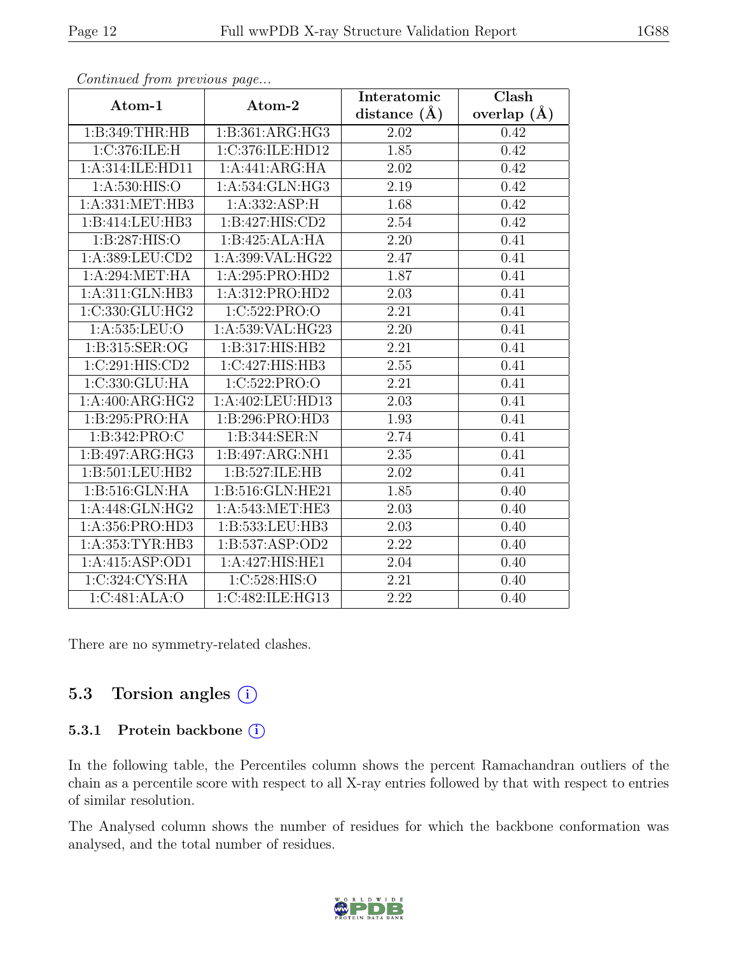| $P$ . The same $P$ is the set of $P$ and $P$ is the set of $P$ |                   | Interatomic       | $\overline{\text{Clash}}$ |
|----------------------------------------------------------------|-------------------|-------------------|---------------------------|
| Atom-1                                                         | Atom-2            | distance $(A)$    | overlap $(A)$             |
| 1: B:349:THR:HB                                                | 1:B:361:ARG:HG3   | 2.02              | 0.42                      |
| 1:C:376:ILE:H                                                  | 1:C:376:ILE:HD12  | 1.85              | 0.42                      |
| 1:A:314:ILE:HD11                                               | 1:A:441:ARG:HA    | 2.02              | 0.42                      |
| 1:A:530:HIS:O                                                  | 1:A:534:GLN:HG3   | 2.19              | 0.42                      |
| 1: A: 331: MET: HB3                                            | 1: A: 332: ASP: H | 1.68              | 0.42                      |
| 1:B:414:LEU:HB3                                                | 1:B:427:HIS:CD2   | 2.54              | 0.42                      |
| 1:B:287:HIS:O                                                  | 1:B:425:ALA:HA    | 2.20              | 0.41                      |
| 1:A:389:LEU:CD2                                                | 1:A:399:VAL:HG22  | 2.47              | 0.41                      |
| 1: A:294: MET:HA                                               | 1:A:295:PRO:HD2   | 1.87              | 0.41                      |
| 1:A:311:GLN:HB3                                                | 1:A:312:PRO:HD2   | 2.03              | 0.41                      |
| 1:C:330:GLU:HG2                                                | 1:C:522:PRO:O     | 2.21              | 0.41                      |
| 1: A: 535: LEU: O                                              | 1:A:539:VAL:HG23  | 2.20              | 0.41                      |
| 1:B:315:SER:OG                                                 | 1:B:317:HIS:HB2   | 2.21              | 0.41                      |
| 1:C:291:HIS:CD2                                                | 1:C:427:HIS:HB3   | 2.55              | 0.41                      |
| 1:C:330:GLU:HA                                                 | 1:C:522:PRO:O     | 2.21              | 0.41                      |
| 1:A:400:ARG:HG2                                                | 1:A:402:LEU:HD13  | 2.03              | 0.41                      |
| 1:B:295:PRO:HA                                                 | 1:B:296:PRO:HD3   | 1.93              | 0.41                      |
| 1:B:342:PRO:C                                                  | 1:B:344:SER:N     | 2.74              | 0.41                      |
| 1:B:497:ARG:HG3                                                | 1:B:497:ARG:NH1   | 2.35              | 0.41                      |
| 1:B:501:LEU:HB2                                                | 1:B:527:ILE:HB    | 2.02              | 0.41                      |
| 1: B:516: GLN: HA                                              | 1:B:516:GLN:HE21  | 1.85              | 0.40                      |
| 1:A:448:GLN:HG2                                                | 1:A:543:MET:HE3   | 2.03              | 0.40                      |
| 1:A:356:PRO:HD3                                                | 1:B:533:LEU:HB3   | 2.03              | 0.40                      |
| 1:A:353:TYR:HB3                                                | 1:B:537:ASP:OD2   | 2.22              | 0.40                      |
| 1:A:415:ASP:OD1                                                | 1:A:427:HIS:HE1   | 2.04              | 0.40                      |
| 1:C:324:CYS:HA                                                 | 1:C:528:HIS:O     | $\overline{2.21}$ | 0.40                      |
| 1:C:481:ALA:O                                                  | 1:C:482:ILE:HG13  | 2.22              | 0.40                      |

Continued from previous page...

There are no symmetry-related clashes.

#### 5.3 Torsion angles  $(i)$

#### 5.3.1 Protein backbone ①

In the following table, the Percentiles column shows the percent Ramachandran outliers of the chain as a percentile score with respect to all X-ray entries followed by that with respect to entries of similar resolution.

The Analysed column shows the number of residues for which the backbone conformation was analysed, and the total number of residues.

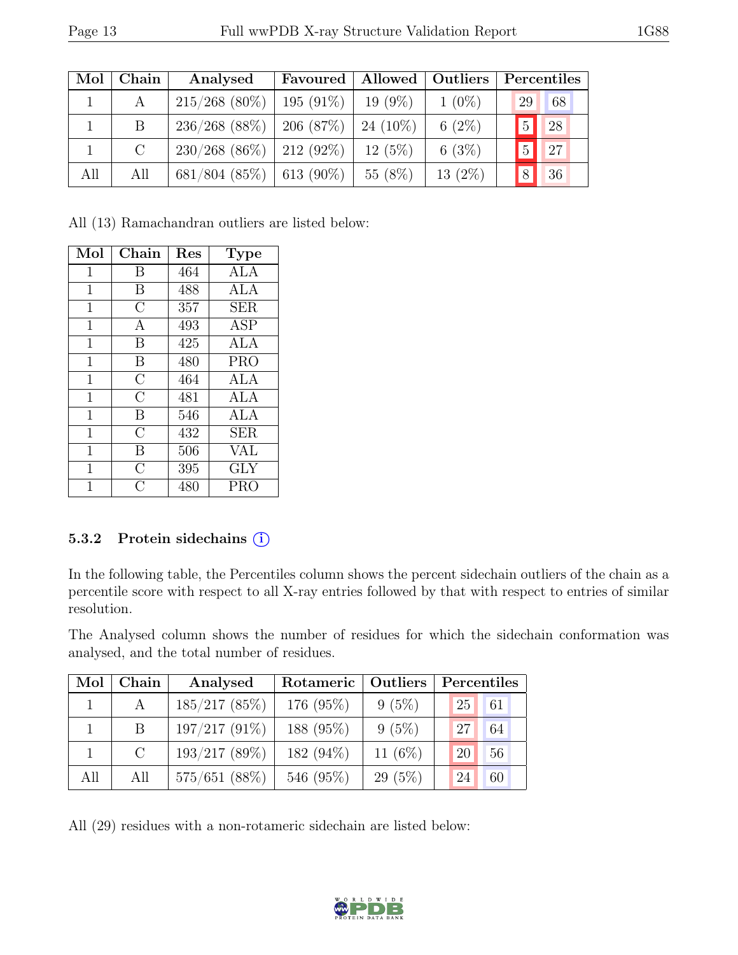| Mol | Chain   | Analysed        | Favoured       | Allowed    | Outliers  | Percentiles          |
|-----|---------|-----------------|----------------|------------|-----------|----------------------|
|     | А       | $215/268$ (80%) | $195(91\%)$    | $19(9\%)$  | $1(0\%)$  | 29<br>68             |
|     | B       | $236/268$ (88%) | 206(87%)       | $24(10\%)$ | 6 $(2\%)$ | 28<br>$\overline{5}$ |
|     | $\rm C$ | $230/268(86\%)$ | $ 212(92\%)$   | $12(5\%)$  | 6(3%)     | 27<br>$\overline{5}$ |
| All | All     | $681/804$ (85%) | $  613 (90\%)$ | 55 (8%)    | $13(2\%)$ | 36<br>8              |

All (13) Ramachandran outliers are listed below:

| Mol            | Chain          | Res | <b>Type</b> |
|----------------|----------------|-----|-------------|
| $\mathbf{1}$   | Β              | 464 | ALA         |
| 1              | B              | 488 | ALA         |
| $\mathbf 1$    | C              | 357 | <b>SER</b>  |
| $\overline{1}$ | A              | 493 | <b>ASP</b>  |
| $\mathbf 1$    | B              | 425 | <b>ALA</b>  |
| 1              | B              | 480 | <b>PRO</b>  |
| $\mathbf 1$    | $\overline{C}$ | 464 | <b>ALA</b>  |
| $\mathbf{1}$   | $\overline{C}$ | 481 | ALA         |
| $\mathbf 1$    | B              | 546 | ALA         |
| 1              | $\overline{C}$ | 432 | <b>SER</b>  |
| 1              | B              | 506 | VAL         |
| $\overline{1}$ | $\overline{C}$ | 395 | <b>GLY</b>  |
| 1              | C              | 480 | PRC         |

#### 5.3.2 Protein sidechains (i)

In the following table, the Percentiles column shows the percent sidechain outliers of the chain as a percentile score with respect to all X-ray entries followed by that with respect to entries of similar resolution.

The Analysed column shows the number of residues for which the sidechain conformation was analysed, and the total number of residues.

| Mol | ${\bf Chain}$ | Analysed        | Rotameric | Outliers  | Percentiles |    |
|-----|---------------|-----------------|-----------|-----------|-------------|----|
|     |               | $185/217$ (85%) | 176 (95%) | $9(5\%)$  | 25          | 61 |
|     | B             | $197/217(91\%)$ | 188 (95%) | $9(5\%)$  | 27          | 64 |
|     | $\mathcal{C}$ | 193/217(89%)    | 182 (94%) | 11 $(6%)$ | 20          | 56 |
| All | All           | $575/651$ (88%) | 546 (95%) | $29(5\%)$ | 24          | 60 |

All (29) residues with a non-rotameric sidechain are listed below:

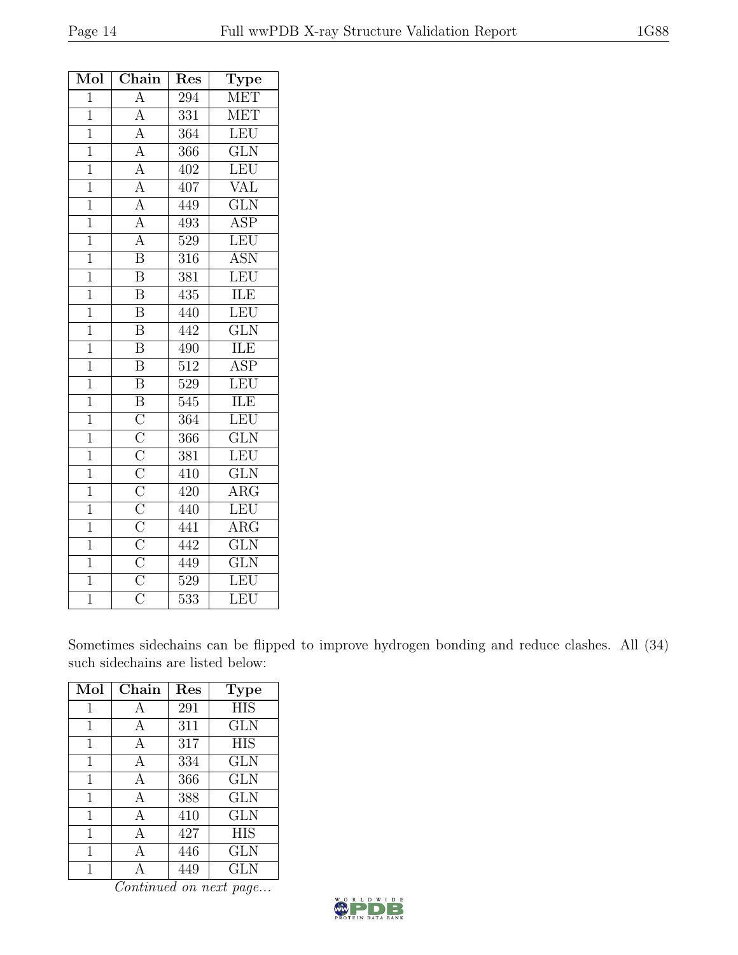| Mol            | Chain                                                                                                                                                                               | $\operatorname{Res}% \left( \mathcal{N}\right) \equiv\operatorname{Res}(\mathcal{N}_{0})\cap\mathcal{N}_{1}$ | Type                    |
|----------------|-------------------------------------------------------------------------------------------------------------------------------------------------------------------------------------|--------------------------------------------------------------------------------------------------------------|-------------------------|
| $\overline{1}$ | $\overline{\rm A}$                                                                                                                                                                  | 294                                                                                                          | <b>MET</b>              |
| $\mathbf{1}$   |                                                                                                                                                                                     | 331                                                                                                          | <b>MET</b>              |
| $\mathbf{1}$   |                                                                                                                                                                                     | 364                                                                                                          | LEU                     |
| $\overline{1}$ | $\frac{A}{A}$ $\frac{A}{A}$                                                                                                                                                         | 366                                                                                                          | $\overline{\text{GLN}}$ |
| $\mathbf{1}$   |                                                                                                                                                                                     | 402                                                                                                          | LEU                     |
| $\overline{1}$ |                                                                                                                                                                                     | 407                                                                                                          | $\overline{\text{VAL}}$ |
| $\mathbf{1}$   | $\frac{\overline{A}}{\overline{A}}$ $\frac{\overline{A}}{\overline{A}}$ $\frac{\overline{A}}{\overline{B}}$                                                                         | 449                                                                                                          | $\overline{\text{GLN}}$ |
| $\mathbf{1}$   |                                                                                                                                                                                     | 493                                                                                                          | <b>ASP</b>              |
| $\mathbf{1}$   |                                                                                                                                                                                     | 529                                                                                                          | LEU                     |
| $\mathbf{1}$   |                                                                                                                                                                                     | 316                                                                                                          | <b>ASN</b>              |
| $\overline{1}$ | $\overline{\mathbf{B}}$                                                                                                                                                             | $\overline{381}$                                                                                             | LEU                     |
| $\mathbf{1}$   | $\overline{\mathrm{B}}$                                                                                                                                                             | 435                                                                                                          | ILE                     |
| $\mathbf{1}$   | $\overline{\text{B}}$                                                                                                                                                               | 440                                                                                                          | LEU                     |
| $\mathbf{1}$   | $\overline{\mathbf{B}}$                                                                                                                                                             | 442                                                                                                          | $\overline{\text{GLN}}$ |
| $\mathbf{1}$   | $\overline{\mathrm{B}}$                                                                                                                                                             | 490                                                                                                          | ILE                     |
| $\overline{1}$ | $\overline{\mathrm{B}}$                                                                                                                                                             | $\overline{512}$                                                                                             | $\overline{\text{ASP}}$ |
| $\mathbf{1}$   | $\overline{\mathrm{B}}$                                                                                                                                                             | $\overline{5}29$                                                                                             | LEU                     |
| $\overline{1}$ |                                                                                                                                                                                     | 545                                                                                                          | <b>ILE</b>              |
| $\mathbf{1}$   |                                                                                                                                                                                     | 364                                                                                                          | LEU                     |
| $\mathbf{1}$   |                                                                                                                                                                                     | 366                                                                                                          | $\overline{\text{GLN}}$ |
| $\overline{1}$ |                                                                                                                                                                                     | 381                                                                                                          | LEU                     |
| $\mathbf{1}$   |                                                                                                                                                                                     | 410                                                                                                          | $\overline{\text{GLN}}$ |
| $\overline{1}$ |                                                                                                                                                                                     | 420                                                                                                          | $\overline{\rm{ARG}}$   |
| $\mathbf{1}$   |                                                                                                                                                                                     | 440                                                                                                          | LEU                     |
| $\mathbf{1}$   |                                                                                                                                                                                     | 441                                                                                                          | $\overline{\text{ARG}}$ |
| $\overline{1}$ |                                                                                                                                                                                     | 442                                                                                                          | $\overline{\text{GLN}}$ |
| $\mathbf{1}$   | $\overline{B}$ $\overline{C}$ $\overline{C}$ $\overline{C}$ $\overline{C}$ $\overline{C}$ $\overline{C}$ $\overline{C}$ $\overline{C}$ $\overline{C}$ $\overline{C}$ $\overline{C}$ | 449                                                                                                          | GLN                     |
| $\overline{1}$ |                                                                                                                                                                                     | $\overline{529}$                                                                                             | LEU                     |
| $\mathbf 1$    |                                                                                                                                                                                     | 533                                                                                                          | LEU                     |

Sometimes sidechains can be flipped to improve hydrogen bonding and reduce clashes. All (34) such sidechains are listed below:

| Mol         | Chain | Res | <b>Type</b> |
|-------------|-------|-----|-------------|
| 1           | A     | 291 | <b>HIS</b>  |
| 1           | A     | 311 | <b>GLN</b>  |
| $\mathbf 1$ | А     | 317 | <b>HIS</b>  |
| 1           | A     | 334 | <b>GLN</b>  |
| 1           | A     | 366 | GLN         |
| 1           | A     | 388 | <b>GLN</b>  |
| 1           | A     | 410 | <b>GLN</b>  |
| 1           | A     | 427 | <b>HIS</b>  |
| 1           | А     | 446 | <b>GLN</b>  |
|             |       | 449 | GLN         |

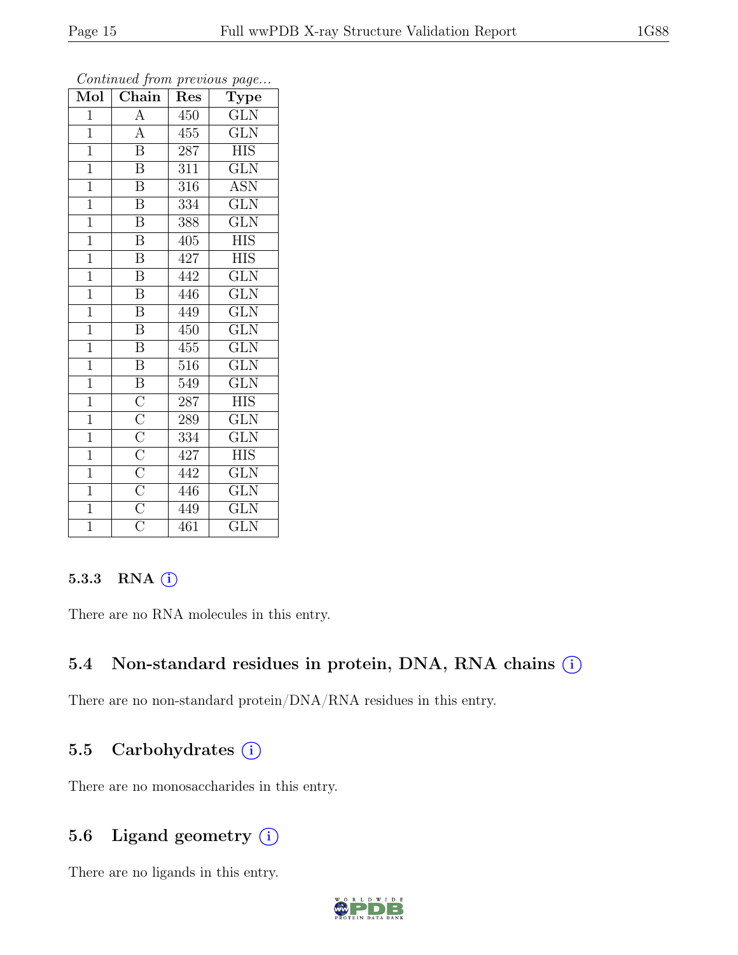| $\overline{\text{Mol}}$ | $\boldsymbol{\theta}$<br>Chain                                                                              | Res | $\mathbf{r}$<br>$\overline{v}$<br>Type |
|-------------------------|-------------------------------------------------------------------------------------------------------------|-----|----------------------------------------|
| $\mathbf{1}$            | $\overline{\rm A}$                                                                                          | 450 | GLN                                    |
| $\mathbf{1}$            | $\overline{A}$                                                                                              | 455 | $\overline{\text{GLN}}$                |
| $\mathbf{1}$            | $\overline{\mathbf{B}}$                                                                                     | 287 | <b>HIS</b>                             |
| $\mathbf{1}$            | $\overline{B}$                                                                                              | 311 | $\overline{\text{GLN}}$                |
| $\overline{1}$          | $\overline{\mathrm{B}}$                                                                                     | 316 | <b>ASN</b>                             |
| $\mathbf{1}$            | $\overline{\mathrm{B}}$                                                                                     | 334 | $\overline{\text{GLN}}$                |
| $\overline{1}$          | $\overline{\mathrm{B}}$                                                                                     | 388 | $\overline{\text{GLN}}$                |
| $\overline{1}$          | $\overline{\mathrm{B}}$                                                                                     | 405 | <b>HIS</b>                             |
| $\overline{1}$          | $\overline{\mathrm{B}}$                                                                                     | 427 | <b>HIS</b>                             |
| $\overline{1}$          | $\overline{\mathrm{B}}$                                                                                     | 442 | $\overline{\text{GLN}}$                |
| $\mathbf{1}$            | $\overline{\mathbf{B}}$                                                                                     | 446 | <b>GLN</b>                             |
| $\mathbf{1}$            | $\overline{\mathrm{B}}$                                                                                     | 449 | $\overline{\text{GLN}}$                |
| $\mathbf{1}$            | $\overline{B}$                                                                                              | 450 | <b>GLN</b>                             |
| $\overline{1}$          | $\, {\bf B}$                                                                                                | 455 | $\overline{\text{GLN}}$                |
| $\overline{1}$          | $\overline{\mathrm{B}}$                                                                                     | 516 | $\overline{\text{GLN}}$                |
| $\mathbf{1}$            | $\, {\bf B}$                                                                                                | 549 | <b>GLN</b>                             |
| $\overline{1}$          | $\frac{\overline{C}}{\overline{C}}$ $\frac{\overline{C}}{\overline{C}}$ $\frac{\overline{C}}{\overline{C}}$ | 287 | НIS                                    |
| $\mathbf{1}$            |                                                                                                             | 289 | <b>GLN</b>                             |
| $\mathbf{1}$            |                                                                                                             | 334 | <b>GLN</b>                             |
| $\mathbf{1}$            |                                                                                                             | 427 | <b>HIS</b>                             |
| $\mathbf{1}$            |                                                                                                             | 442 | <b>GLN</b>                             |
| $\overline{1}$          |                                                                                                             | 446 | $\overline{\text{GLN}}$                |
| $\overline{1}$          |                                                                                                             | 449 | <b>GLN</b>                             |
| $\overline{1}$          | $\overline{\rm C}$                                                                                          | 461 | $\overline{\text{GLN}}$                |

Continued from previous page...

#### 5.3.3 RNA  $(i)$

There are no RNA molecules in this entry.

### 5.4 Non-standard residues in protein, DNA, RNA chains  $(i)$

There are no non-standard protein/DNA/RNA residues in this entry.

#### 5.5 Carbohydrates  $(i)$

There are no monosaccharides in this entry.

### 5.6 Ligand geometry  $(i)$

There are no ligands in this entry.

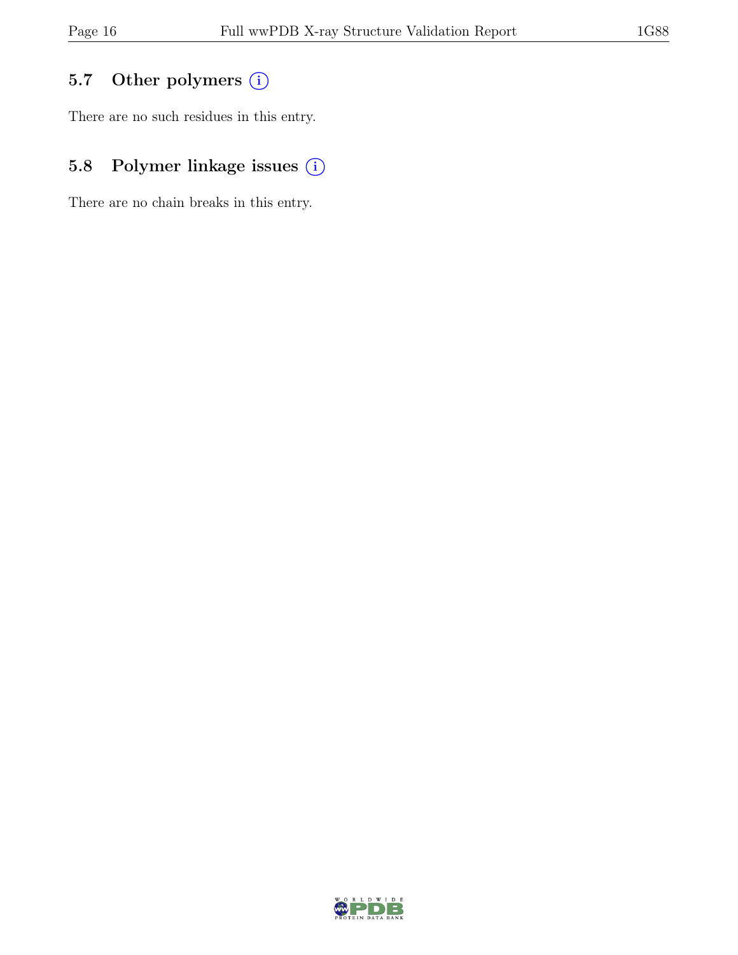### 5.7 Other polymers (i)

There are no such residues in this entry.

# 5.8 Polymer linkage issues  $(i)$

There are no chain breaks in this entry.

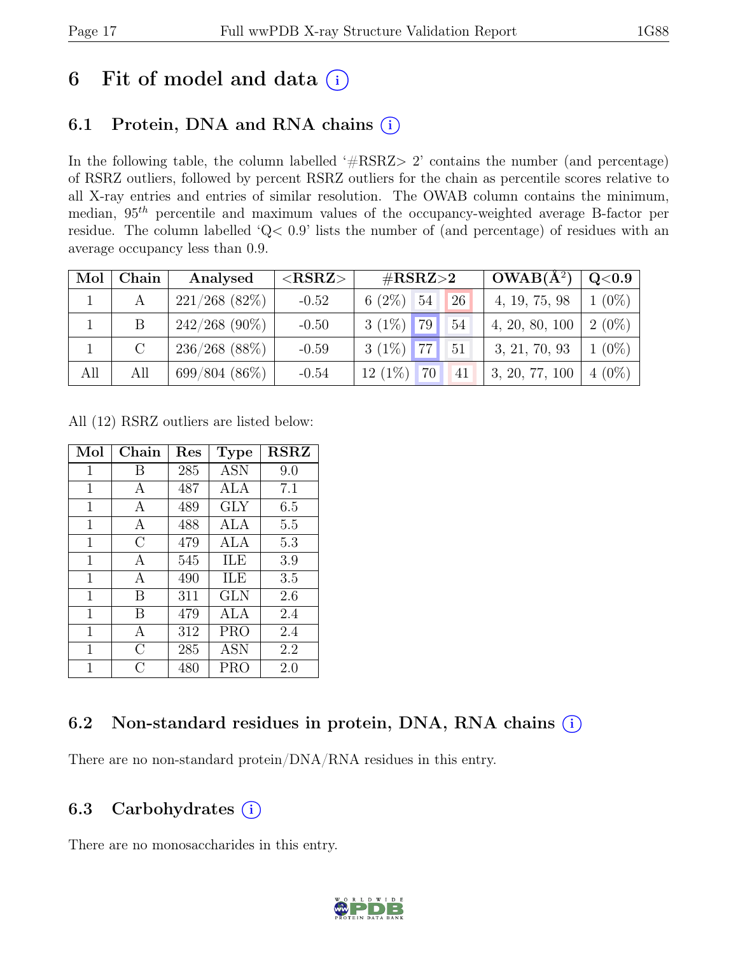# 6 Fit of model and data  $(i)$

### 6.1 Protein, DNA and RNA chains  $(i)$

In the following table, the column labelled ' $\#\text{RSRZ}>2$ ' contains the number (and percentage) of RSRZ outliers, followed by percent RSRZ outliers for the chain as percentile scores relative to all X-ray entries and entries of similar resolution. The OWAB column contains the minimum, median,  $95<sup>th</sup>$  percentile and maximum values of the occupancy-weighted average B-factor per residue. The column labelled 'Q< 0.9' lists the number of (and percentage) of residues with an average occupancy less than 0.9.

| Mol | Chain   | Analysed         | ${ <\hspace{-1.5pt}{\mathrm{RSRZ}} \hspace{-1.5pt}>}$ | $\#\text{RSRZ}\text{>2}$        | $OWAB(A^2)$             | $\rm Q\textcolor{black}{<}0.9$ $\mid$ |
|-----|---------|------------------|-------------------------------------------------------|---------------------------------|-------------------------|---------------------------------------|
|     |         | $221/268$ (82\%) | $-0.52$                                               | $6(2\%)$ 54<br><sup>26</sup>    | 4, 19, 75, 98           | $1(0\%)$                              |
|     | B       | $242/268$ (90%)  | $-0.50$                                               | 79<br>$3(1\%)$<br>54            | 4, 20, 80, 100          | $2(0\%)$                              |
|     | $\rm C$ | $236/268$ (88%)  | $-0.59$                                               | $3(1\%)$ 77<br>$\vert 51 \vert$ | 3, 21, 70, 93           | $1(0\%)$                              |
| All | All     | $699/804(86\%)$  | $-0.54$                                               | $12(1\%)$<br>70<br>41           | 3, 20, 77, 100   4 (0%) |                                       |

All (12) RSRZ outliers are listed below:

| Mol         | Chain | $\operatorname{Res}$ | <b>Type</b> | <b>RSRZ</b> |
|-------------|-------|----------------------|-------------|-------------|
| 1           | В     | 285                  | <b>ASN</b>  | 9.0         |
| 1           | А     | 487                  | ALA         | 7.1         |
| 1           | А     | 489                  | GLY         | 6.5         |
| 1           | A     | 488                  | ALA         | 5.5         |
| 1           | С     | 479                  | ALA         | 5.3         |
| 1           | А     | 545                  | ILE         | 3.9         |
| $\mathbf 1$ | А     | 490                  | ILE         | 3.5         |
| $\mathbf 1$ | В     | 311                  | <b>GLN</b>  | 2.6         |
| $\mathbf 1$ | В     | 479                  | ALA         | 2.4         |
| 1           | А     | 312                  | <b>PRO</b>  | 2.4         |
| 1           | С     | 285                  | <b>ASN</b>  | 2.2         |
| 1           | C     | 480                  | PRO         | 2.0         |

### 6.2 Non-standard residues in protein, DNA, RNA chains (i)

There are no non-standard protein/DNA/RNA residues in this entry.

### 6.3 Carbohydrates (i)

There are no monosaccharides in this entry.